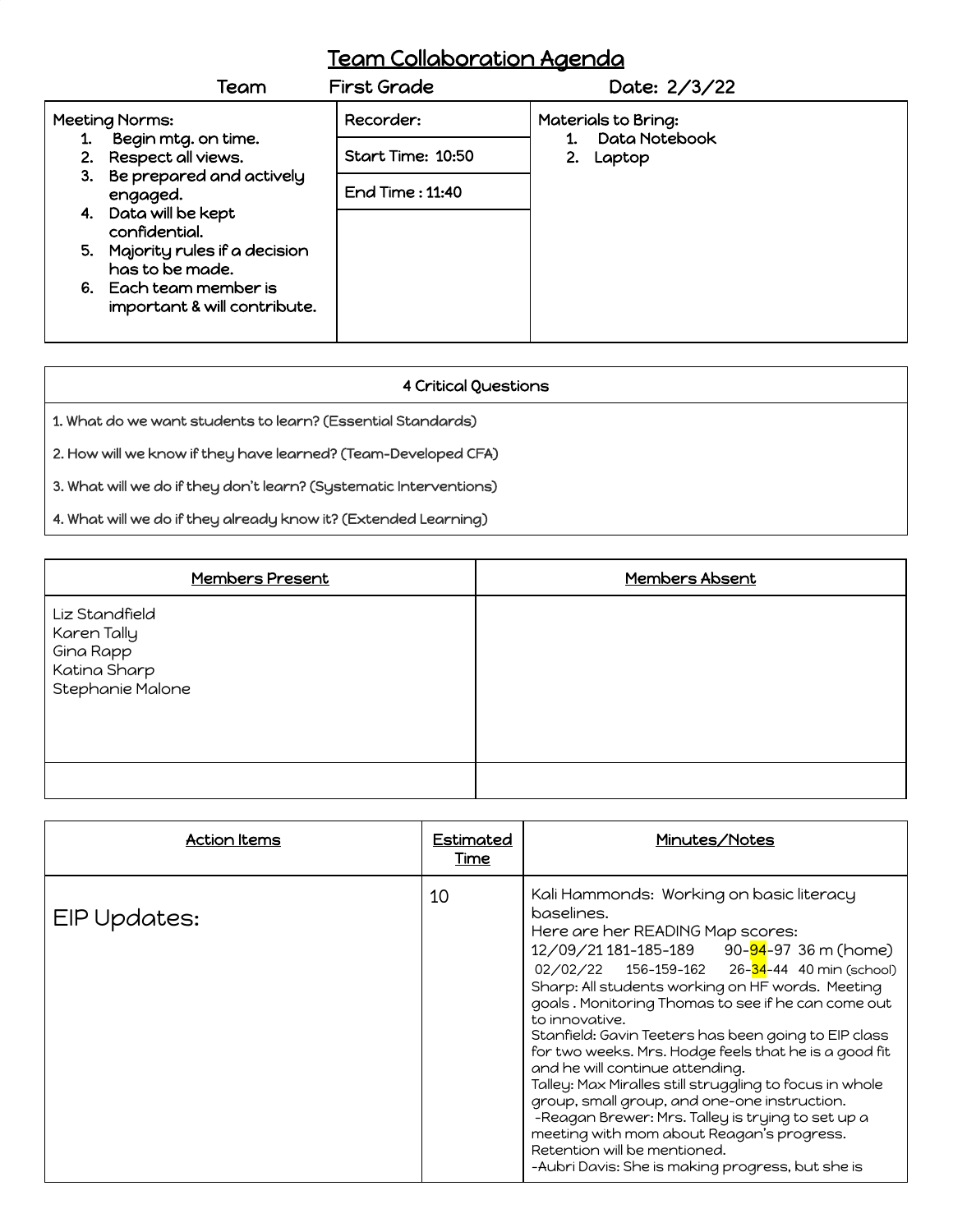## Team Collaboration Agenda

|                       | Team                                                   | <b>First Grade</b> | Date: 2/3/22                  |  |
|-----------------------|--------------------------------------------------------|--------------------|-------------------------------|--|
| <b>Meeting Norms:</b> |                                                        | Recorder:          | Materials to Bring:           |  |
| 1.                    | Begin mtg. on time.<br>2. Respect all views.           | Start Time: 10:50  | Data Notebook<br>2.<br>Laptop |  |
|                       | 3. Be prepared and actively<br>engaged.                | End Time: 11:40    |                               |  |
|                       | 4. Data will be kept<br>confidential.                  |                    |                               |  |
|                       | 5. Majority rules if a decision<br>has to be made.     |                    |                               |  |
|                       | 6. Each team member is<br>important & will contribute. |                    |                               |  |

## 4 Critical Questions

1. What do we want students to learn? (Essential Standards)

2. How will we know if they have learned? (Team-Developed CFA)

3. What will we do if they don't learn? (Systematic Interventions)

4. What will we do if they already know it? (Extended Learning)

| Members Present                                                                | Members Absent |
|--------------------------------------------------------------------------------|----------------|
| Liz Standfield<br>Karen Tally<br>Gina Rapp<br>Katina Sharp<br>Stephanie Malone |                |
|                                                                                |                |

| Action Items | Estimated<br>Time | Minutes/Notes                                                                                                                                                                                                                                                                                                                                                                                                                                                                                                                                                                                                                                                                                                                                                                              |
|--------------|-------------------|--------------------------------------------------------------------------------------------------------------------------------------------------------------------------------------------------------------------------------------------------------------------------------------------------------------------------------------------------------------------------------------------------------------------------------------------------------------------------------------------------------------------------------------------------------------------------------------------------------------------------------------------------------------------------------------------------------------------------------------------------------------------------------------------|
| EIP Updates: | 10                | Kali Hammonds: Working on basic literacy<br>baselines.<br>Here are her READING Map scores:<br>12/09/21 181-185-189 90-04-97 36 m (home)<br>$02/02/22$ 156-159-162 26- <mark>34</mark> -44 40 min (school)<br>Sharp: All students working on HF words. Meeting<br>goals. Monitoring Thomas to see if he can come out<br>to innovative.<br>Stanfield: Gavin Teeters has been going to EIP class<br>for two weeks. Mrs. Hodge feels that he is a good fit<br>and he will continue attending.<br>Talley: Max Miralles still struggling to focus in whole<br>group, small group, and one-one instruction.<br>-Reagan Brewer: Mrs. Talley is trying to set up a<br>meeting with mom about Reagan's progress.<br>Retention will be mentioned.<br>-Aubri Davis: She is making progress, but she is |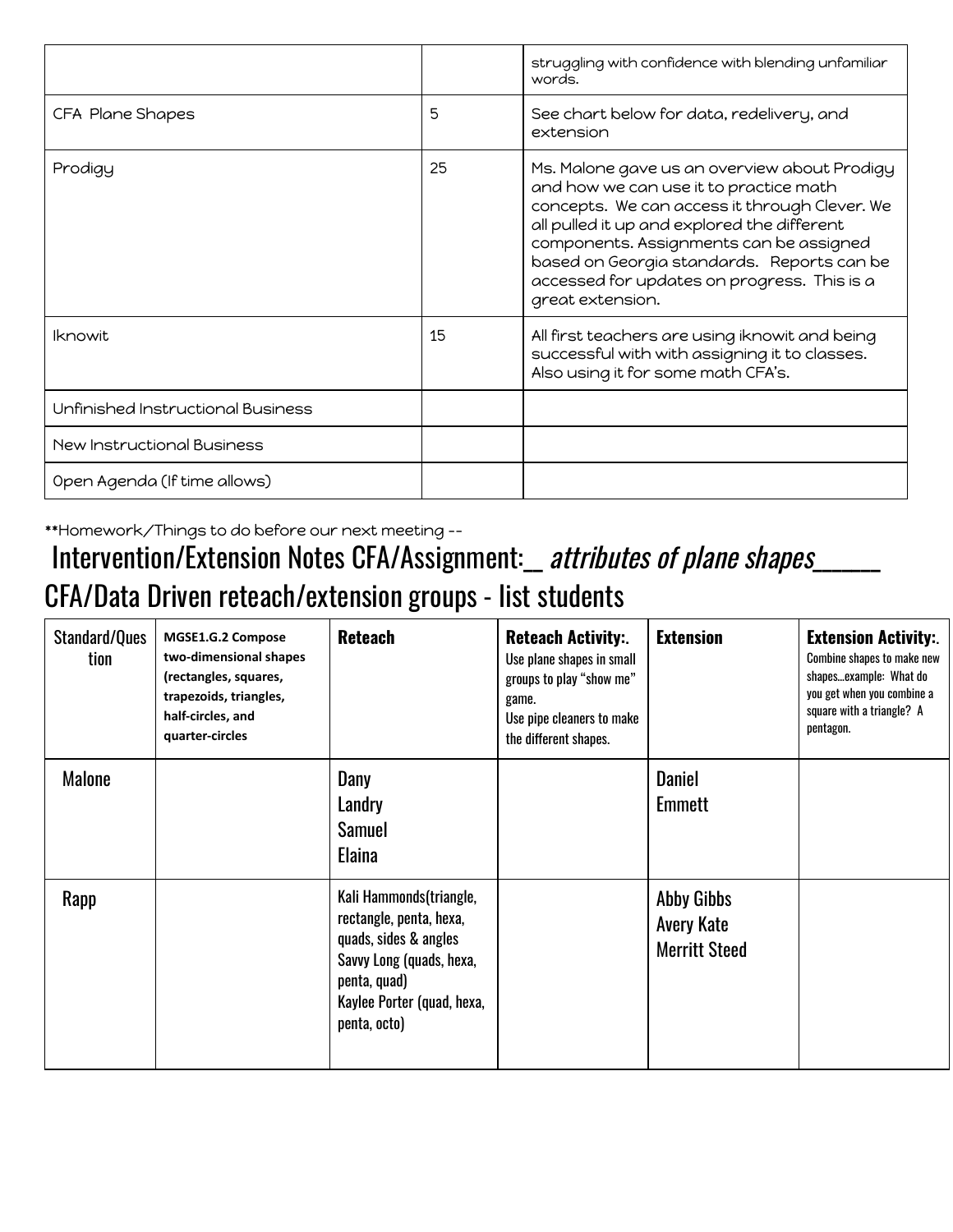|                                   |    | struggling with confidence with blending unfamiliar<br>words.                                                                                                                                                                                                                                                                                      |
|-----------------------------------|----|----------------------------------------------------------------------------------------------------------------------------------------------------------------------------------------------------------------------------------------------------------------------------------------------------------------------------------------------------|
| CFA Plane Shapes                  | 5  | See chart below for data, redelivery, and<br>extension                                                                                                                                                                                                                                                                                             |
| Prodigy                           | 25 | Ms. Malone gave us an overview about Prodigy<br>and how we can use it to practice math<br>concepts. We can access it through Clever. We<br>all pulled it up and explored the different<br>components. Assignments can be assigned<br>based on Georgia standards. Reports can be<br>accessed for updates on progress. This is a<br>great extension. |
| <b>Iknowit</b>                    | 15 | All first teachers are using iknowit and being<br>successful with with assigning it to classes.<br>Also using it for some math CFA's.                                                                                                                                                                                                              |
| Unfinished Instructional Business |    |                                                                                                                                                                                                                                                                                                                                                    |
| <b>New Instructional Business</b> |    |                                                                                                                                                                                                                                                                                                                                                    |
| Open Agenda (If time allows)      |    |                                                                                                                                                                                                                                                                                                                                                    |

\*\*Homework/Things to do before our next meeting --

## Intervention/Extension Notes CFA/Assignment: \_ attributes of plane shapes\_ CFA/Data Driven reteach/extension groups - list students

| Standard/Ques<br>tion | MGSE1.G.2 Compose<br>two-dimensional shapes<br>(rectangles, squares,<br>trapezoids, triangles,<br>half-circles, and<br>quarter-circles | <b>Reteach</b>                                                                                                                                                        | <b>Reteach Activity:</b><br>Use plane shapes in small<br>groups to play "show me"<br>game.<br>Use pipe cleaners to make<br>the different shapes. | <b>Extension</b>                                               | <b>Extension Activity:</b><br>Combine shapes to make new<br>shapesexample: What do<br>you get when you combine a<br>square with a triangle? A<br>pentagon. |
|-----------------------|----------------------------------------------------------------------------------------------------------------------------------------|-----------------------------------------------------------------------------------------------------------------------------------------------------------------------|--------------------------------------------------------------------------------------------------------------------------------------------------|----------------------------------------------------------------|------------------------------------------------------------------------------------------------------------------------------------------------------------|
| <b>Malone</b>         |                                                                                                                                        | Dany<br>Landry<br>Samuel<br>Elaina                                                                                                                                    |                                                                                                                                                  | <b>Daniel</b><br>Emmett                                        |                                                                                                                                                            |
| Rapp                  |                                                                                                                                        | Kali Hammonds(triangle,<br>rectangle, penta, hexa,<br>quads, sides & angles<br>Savvy Long (quads, hexa,<br>penta, quad)<br>Kaylee Porter (quad, hexa,<br>penta, octo) |                                                                                                                                                  | <b>Abby Gibbs</b><br><b>Avery Kate</b><br><b>Merritt Steed</b> |                                                                                                                                                            |